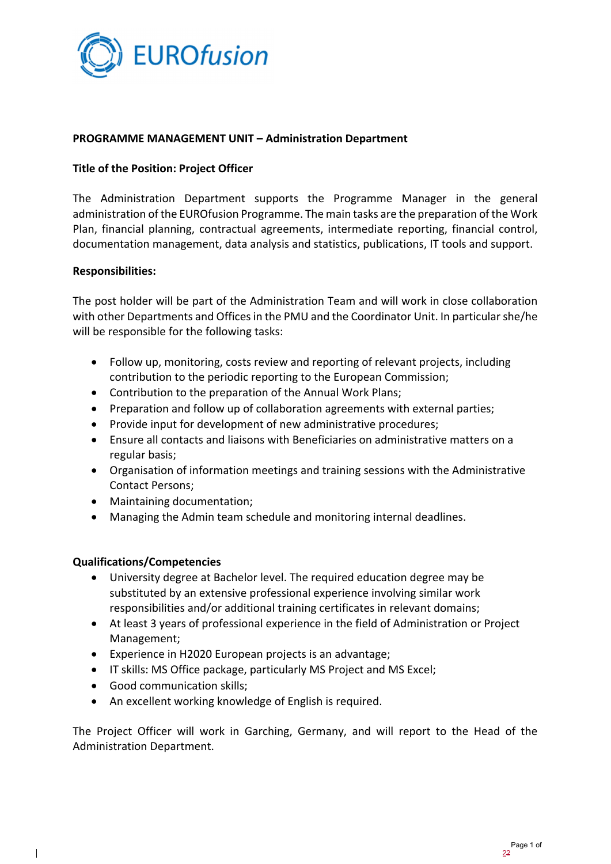

## **PROGRAMME MANAGEMENT UNIT – Administration Department**

## **Title of the Position: Project Officer**

The Administration Department supports the Programme Manager in the general administration of the EUROfusion Programme. The main tasks are the preparation of the Work Plan, financial planning, contractual agreements, intermediate reporting, financial control, documentation management, data analysis and statistics, publications, IT tools and support.

## **Responsibilities:**

The post holder will be part of the Administration Team and will work in close collaboration with other Departments and Offices in the PMU and the Coordinator Unit. In particular she/he will be responsible for the following tasks:

- Follow up, monitoring, costs review and reporting of relevant projects, including contribution to the periodic reporting to the European Commission;
- Contribution to the preparation of the Annual Work Plans;
- Preparation and follow up of collaboration agreements with external parties;
- Provide input for development of new administrative procedures;
- Ensure all contacts and liaisons with Beneficiaries on administrative matters on a regular basis;
- Organisation of information meetings and training sessions with the Administrative Contact Persons;
- Maintaining documentation;
- Managing the Admin team schedule and monitoring internal deadlines.

## **Qualifications/Competencies**

- University degree at Bachelor level. The required education degree may be substituted by an extensive professional experience involving similar work responsibilities and/or additional training certificates in relevant domains;
- At least 3 years of professional experience in the field of Administration or Project Management;
- Experience in H2020 European projects is an advantage;
- IT skills: MS Office package, particularly MS Project and MS Excel;
- Good communication skills;
- An excellent working knowledge of English is required.

The Project Officer will work in Garching, Germany, and will report to the Head of the Administration Department.